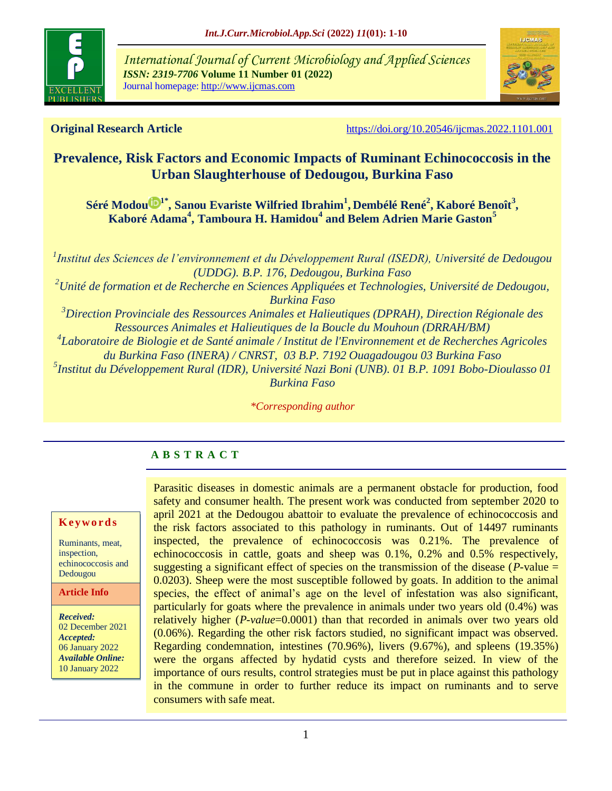

*International Journal of Current Microbiology and Applied Sciences ISSN: 2319-7706* **Volume 11 Number 01 (2022)**  Journal homepage: http://www.ijcmas.com



**Original Research Article** <https://doi.org/10.20546/ijcmas.2022.1101.001>

# **Prevalence, Risk Factors and Economic Impacts of Ruminant Echinococcosis in the Urban Slaughterhouse of Dedougou, Burkina Faso**

**[Séré Modou](https://orcid.org/0000-0002-5929-1928) 1\*, Sanou Evariste Wilfried Ibrahim<sup>1</sup> , Dembélé René<sup>2</sup> , Kaboré Benoît<sup>3</sup> , Kaboré Adama<sup>4</sup> , Tamboura H. Hamidou<sup>4</sup> and Belem Adrien Marie Gaston<sup>5</sup>**

*1 Institut des Sciences de l'environnement et du Développement Rural (ISEDR), Université de Dedougou (UDDG). B.P. 176, Dedougou, Burkina Faso <sup>2</sup>Unité de formation et de Recherche en Sciences Appliquées et Technologies, Université de Dedougou, Burkina Faso <sup>3</sup>Direction Provinciale des Ressources Animales et Halieutiques (DPRAH), Direction Régionale des Ressources Animales et Halieutiques de la Boucle du Mouhoun (DRRAH/BM) 4 Laboratoire de Biologie et de Santé animale / Institut de l'Environnement et de Recherches Agricoles du Burkina Faso (INERA) / CNRST, 03 B.P. [7192 Ouagadougou 03 Burkina Faso](https://www.google.com/url?sa=t&rct=j&q=&esrc=s&source=web&cd=&cad=rja&uact=8&ved=2ahUKEwjjpobNktDzAhW8DmMBHaFDCj8QFnoECAUQAQ&url=http%3A%2F%2Fwww.cnrst.bf%2F&usg=AOvVaw0-C5n03gAx2pijhDVXojUQ) 5 Institut du Développement Rural (IDR), Université Nazi Boni (UNB). 01 B.P. 1091 Bobo-Dioulasso 01 Burkina Faso*

*\*Corresponding author*

## **A B S T R A C T**

### **K ey w o rd s**

Ruminants, meat, inspection, echinococcosis and Dedougou

**Article Info**

*Received:*  02 December 2021 *Accepted:*  06 January 2022 *Available Online:* 10 January 2022

Parasitic diseases in domestic animals are a permanent obstacle for production, food safety and consumer health. The present work was conducted from september 2020 to april 2021 at the Dedougou abattoir to evaluate the prevalence of echinococcosis and the risk factors associated to this pathology in ruminants. Out of 14497 ruminants inspected, the prevalence of echinococcosis was 0.21%. The prevalence of echinococcosis in cattle, goats and sheep was 0.1%, 0.2% and 0.5% respectively, suggesting a significant effect of species on the transmission of the disease (*P*-value = 0.0203). Sheep were the most susceptible followed by goats. In addition to the animal species, the effect of animal's age on the level of infestation was also significant, particularly for goats where the prevalence in animals under two years old (0.4%) was relatively higher (*P-value*=0.0001) than that recorded in animals over two years old (0.06%). Regarding the other risk factors studied, no significant impact was observed. Regarding condemnation, intestines (70.96%), livers (9.67%), and spleens (19.35%) were the organs affected by hydatid cysts and therefore seized. In view of the importance of ours results, control strategies must be put in place against this pathology in the commune in order to further reduce its impact on ruminants and to serve consumers with safe meat.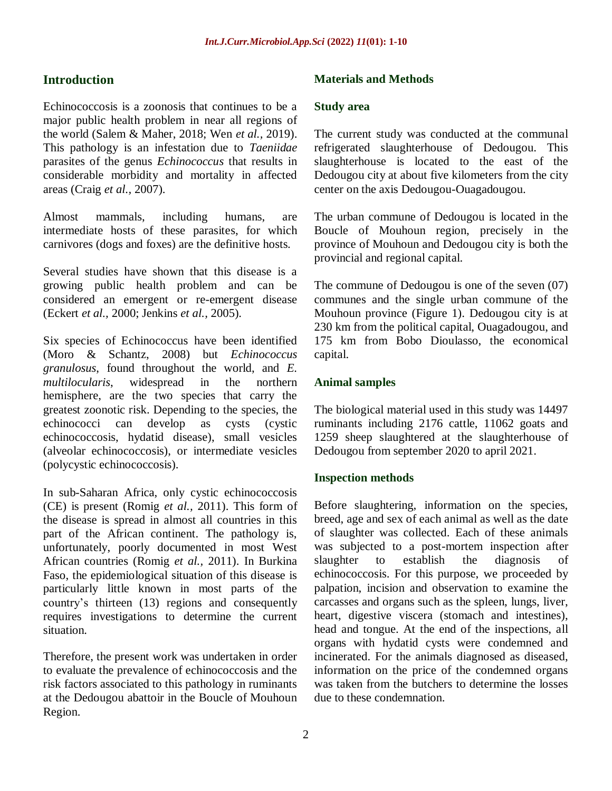## **Introduction**

Echinococcosis is a zoonosis that continues to be a major public health problem in near all regions of the world (Salem & Maher, 2018; Wen *et al.,* 2019). This pathology is an infestation due to *Taeniidae*  parasites of the genus *Echinococcus* that results in considerable morbidity and mortality in affected areas (Craig *et al.,* 2007).

Almost mammals, including humans, are intermediate hosts of these parasites, for which carnivores (dogs and foxes) are the definitive hosts.

Several studies have shown that this disease is a growing public health problem and can be considered an emergent or re-emergent disease (Eckert *et al.,* 2000; Jenkins *et al.,* 2005).

Six species of Echinococcus have been identified (Moro & Schantz, 2008) but *Echinococcus granulosus*, found throughout the world, and *E. multilocularis*, widespread in the northern hemisphere, are the two species that carry the greatest zoonotic risk. Depending to the species, the echinococci can develop as cysts (cystic echinococcosis, hydatid disease), small vesicles (alveolar echinococcosis), or intermediate vesicles (polycystic echinococcosis).

In sub-Saharan Africa, only cystic echinococcosis (CE) is present (Romig *et al.,* 2011). This form of the disease is spread in almost all countries in this part of the African continent. The pathology is, unfortunately, poorly documented in most West African countries (Romig *et al.,* 2011). In Burkina Faso, the epidemiological situation of this disease is particularly little known in most parts of the country's thirteen (13) regions and consequently requires investigations to determine the current situation.

Therefore, the present work was undertaken in order to evaluate the prevalence of echinococcosis and the risk factors associated to this pathology in ruminants at the Dedougou abattoir in the Boucle of Mouhoun Region.

### **Materials and Methods**

#### **Study area**

The current study was conducted at the communal refrigerated slaughterhouse of Dedougou. This slaughterhouse is located to the east of the Dedougou city at about five kilometers from the city center on the axis Dedougou-Ouagadougou.

The urban commune of Dedougou is located in the Boucle of Mouhoun region, precisely in the province of Mouhoun and Dedougou city is both the provincial and regional capital.

The commune of Dedougou is one of the seven (07) communes and the single urban commune of the Mouhoun province (Figure 1). Dedougou city is at 230 km from the political capital, Ouagadougou, and 175 km from Bobo Dioulasso, the economical capital.

### **Animal samples**

The biological material used in this study was 14497 ruminants including 2176 cattle, 11062 goats and 1259 sheep slaughtered at the slaughterhouse of Dedougou from september 2020 to april 2021.

### **Inspection methods**

Before slaughtering, information on the species, breed, age and sex of each animal as well as the date of slaughter was collected. Each of these animals was subjected to a post-mortem inspection after slaughter to establish the diagnosis of echinococcosis. For this purpose, we proceeded by palpation, incision and observation to examine the carcasses and organs such as the spleen, lungs, liver, heart, digestive viscera (stomach and intestines), head and tongue. At the end of the inspections, all organs with hydatid cysts were condemned and incinerated. For the animals diagnosed as diseased, information on the price of the condemned organs was taken from the butchers to determine the losses due to these condemnation.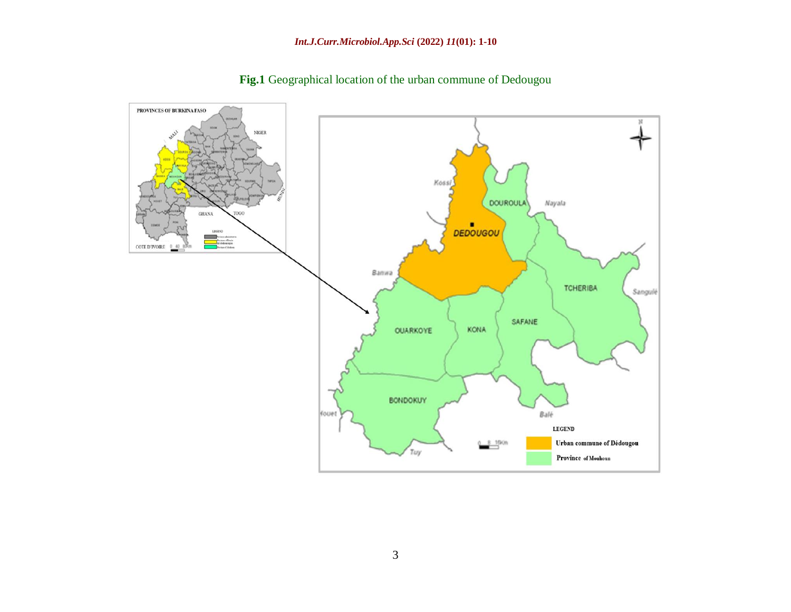

**Fig.1** Geographical location of the urban commune of Dedougou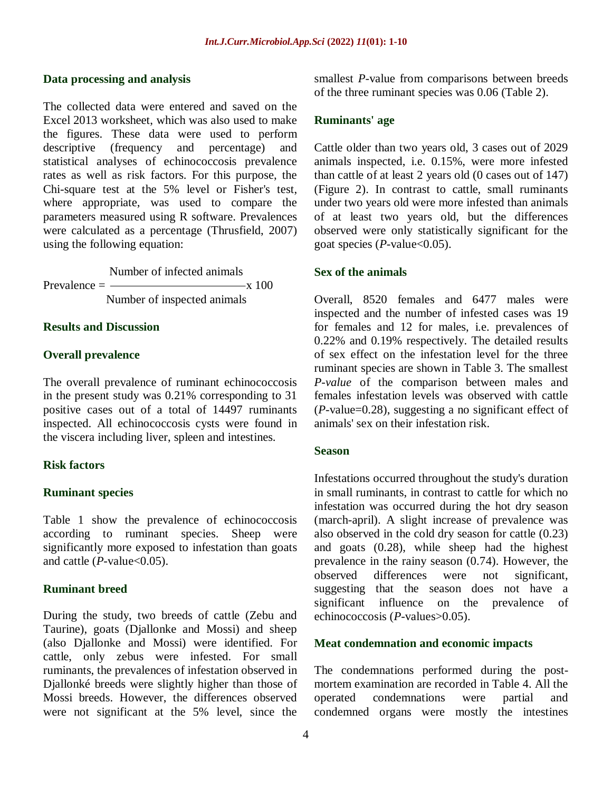#### **Data processing and analysis**

The collected data were entered and saved on the Excel 2013 worksheet, which was also used to make the figures. These data were used to perform descriptive (frequency and percentage) and statistical analyses of echinococcosis prevalence rates as well as risk factors. For this purpose, the Chi-square test at the 5% level or Fisher's test, where appropriate, was used to compare the parameters measured using R software. Prevalences were calculated as a percentage (Thrusfield, 2007) using the following equation:

 Number of infected animals  $Prevalence = \frac{\text{max}}{\text{max}}$ Number of inspected animals

#### **Results and Discussion**

#### **Overall prevalence**

The overall prevalence of ruminant echinococcosis in the present study was 0.21% corresponding to 31 positive cases out of a total of 14497 ruminants inspected. All echinococcosis cysts were found in the viscera including liver, spleen and intestines.

#### **Risk factors**

### **Ruminant species**

Table 1 show the prevalence of echinococcosis according to ruminant species. Sheep were significantly more exposed to infestation than goats and cattle  $(P$ -value <  $0.05$ ).

### **Ruminant breed**

During the study, two breeds of cattle (Zebu and Taurine), goats (Djallonke and Mossi) and sheep (also Djallonke and Mossi) were identified. For cattle, only zebus were infested. For small ruminants, the prevalences of infestation observed in Djallonké breeds were slightly higher than those of Mossi breeds. However, the differences observed were not significant at the 5% level, since the

smallest *P*-value from comparisons between breeds of the three ruminant species was 0.06 (Table 2).

#### **Ruminants' age**

Cattle older than two years old, 3 cases out of 2029 animals inspected, i.e. 0.15%, were more infested than cattle of at least 2 years old (0 cases out of 147) (Figure 2). In contrast to cattle, small ruminants under two years old were more infested than animals of at least two years old, but the differences observed were only statistically significant for the goat species (*P*-value<0.05).

#### **Sex of the animals**

Overall, 8520 females and 6477 males were inspected and the number of infested cases was 19 for females and 12 for males, i.e. prevalences of 0.22% and 0.19% respectively. The detailed results of sex effect on the infestation level for the three ruminant species are shown in Table 3. The smallest *P-value* of the comparison between males and females infestation levels was observed with cattle (*P*-value=0.28), suggesting a no significant effect of animals' sex on their infestation risk.

#### **Season**

Infestations occurred throughout the study's duration in small ruminants, in contrast to cattle for which no infestation was occurred during the hot dry season (march-april). A slight increase of prevalence was also observed in the cold dry season for cattle (0.23) and goats (0.28), while sheep had the highest prevalence in the rainy season (0.74). However, the observed differences were not significant, suggesting that the season does not have a significant influence on the prevalence of echinococcosis (*P*-values>0.05).

#### **Meat condemnation and economic impacts**

The condemnations performed during the postmortem examination are recorded in Table 4. All the operated condemnations were partial and condemned organs were mostly the intestines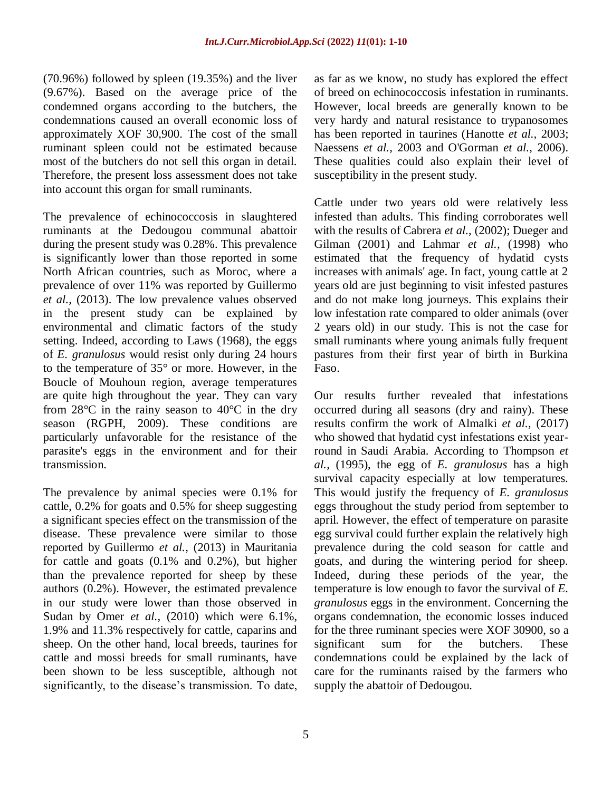(70.96%) followed by spleen (19.35%) and the liver (9.67%). Based on the average price of the condemned organs according to the butchers, the condemnations caused an overall economic loss of approximately XOF 30,900. The cost of the small ruminant spleen could not be estimated because most of the butchers do not sell this organ in detail. Therefore, the present loss assessment does not take into account this organ for small ruminants.

The prevalence of echinococcosis in slaughtered ruminants at the Dedougou communal abattoir during the present study was 0.28%. This prevalence is significantly lower than those reported in some North African countries, such as Moroc, where a prevalence of over 11% was reported by Guillermo *et al.,* (2013). The low prevalence values observed in the present study can be explained by environmental and climatic factors of the study setting. Indeed, according to Laws (1968), the eggs of *E. granulosus* would resist only during 24 hours to the temperature of 35° or more. However, in the Boucle of Mouhoun region, average temperatures are quite high throughout the year. They can vary from  $28^{\circ}$ C in the rainy season to  $40^{\circ}$ C in the dry season (RGPH, 2009). These conditions are particularly unfavorable for the resistance of the parasite's eggs in the environment and for their transmission.

The prevalence by animal species were 0.1% for cattle, 0.2% for goats and 0.5% for sheep suggesting a significant species effect on the transmission of the disease. These prevalence were similar to those reported by Guillermo *et al.,* (2013) in Mauritania for cattle and goats (0.1% and 0.2%), but higher than the prevalence reported for sheep by these authors (0.2%). However, the estimated prevalence in our study were lower than those observed in Sudan by Omer *et al.,* (2010) which were 6.1%, 1.9% and 11.3% respectively for cattle, caparins and sheep. On the other hand, local breeds, taurines for cattle and mossi breeds for small ruminants, have been shown to be less susceptible, although not significantly, to the disease's transmission. To date,

as far as we know, no study has explored the effect of breed on echinococcosis infestation in ruminants. However, local breeds are generally known to be very hardy and natural resistance to trypanosomes has been reported in taurines (Hanotte *et al.,* 2003; Naessens *et al.,* 2003 and O'Gorman *et al.,* 2006). These qualities could also explain their level of susceptibility in the present study.

Cattle under two years old were relatively less infested than adults. This finding corroborates well with the results of Cabrera *et al.,* (2002); Dueger and Gilman (2001) and Lahmar *et al.,* (1998) who estimated that the frequency of hydatid cysts increases with animals' age. In fact, young cattle at 2 years old are just beginning to visit infested pastures and do not make long journeys. This explains their low infestation rate compared to older animals (over 2 years old) in our study. This is not the case for small ruminants where young animals fully frequent pastures from their first year of birth in Burkina Faso.

Our results further revealed that infestations occurred during all seasons (dry and rainy). These results confirm the work of Almalki *et al.,* (2017) who showed that hydatid cyst infestations exist yearround in Saudi Arabia. According to Thompson *et al.,* (1995), the egg of *E. granulosus* has a high survival capacity especially at low temperatures. This would justify the frequency of *E. granulosus* eggs throughout the study period from september to april. However, the effect of temperature on parasite egg survival could further explain the relatively high prevalence during the cold season for cattle and goats, and during the wintering period for sheep. Indeed, during these periods of the year, the temperature is low enough to favor the survival of *E. granulosus* eggs in the environment. Concerning the organs condemnation, the economic losses induced for the three ruminant species were XOF 30900, so a significant sum for the butchers. These condemnations could be explained by the lack of care for the ruminants raised by the farmers who supply the abattoir of Dedougou.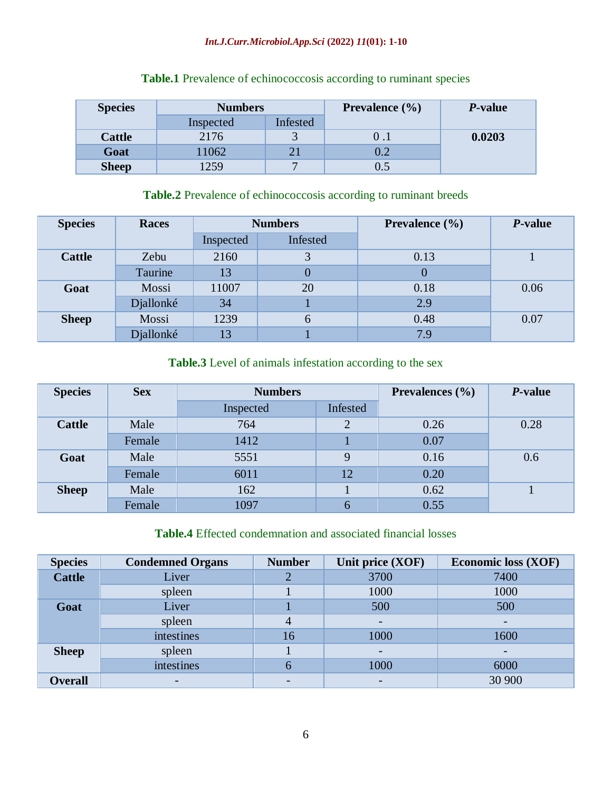### *Int.J.Curr.Microbiol.App.Sci* **(2022)** *11***(01): 1-10**

| <b>Species</b> | <b>Numbers</b> |          | <b>Prevalence</b> (%) | P-value |
|----------------|----------------|----------|-----------------------|---------|
|                | Inspected      | Infested |                       |         |
| <b>Cattle</b>  | 2176           |          |                       | 0.0203  |
| Goat           | 11062          |          | $0.2\,$               |         |
| <b>Sheep</b>   | 1259           | -        | $0.5\,$               |         |

## **Table.1** Prevalence of echinococcosis according to ruminant species

## **Table.2** Prevalence of echinococcosis according to ruminant breeds

| <b>Species</b> | <b>Races</b> | <b>Numbers</b> |          | <b>Prevalence</b> $(\% )$ | P-value |
|----------------|--------------|----------------|----------|---------------------------|---------|
|                |              | Inspected      | Infested |                           |         |
| <b>Cattle</b>  | Zebu         | 2160           |          | 0.13                      |         |
|                | Taurine      | 13             | 0        | $\theta$                  |         |
| Goat           | Mossi        | 11007          | 20       | 0.18                      | 0.06    |
|                | Djallonké    | 34             |          | 2.9                       |         |
| <b>Sheep</b>   | Mossi        | 1239           | 6        | 0.48                      | 0.07    |
|                | Djallonké    | 13             |          | 7.9                       |         |

## **Table.3** Level of animals infestation according to the sex

| <b>Species</b> | <b>Sex</b> | <b>Numbers</b> |          | <b>Prevalences</b> $(\frac{6}{6})$ | <i>P</i> -value |  |
|----------------|------------|----------------|----------|------------------------------------|-----------------|--|
|                |            | Inspected      | Infested |                                    |                 |  |
| <b>Cattle</b>  | Male       | 764            | $\gamma$ | 0.26                               | 0.28            |  |
|                | Female     | 1412           |          | 0.07                               |                 |  |
| Goat           | Male       | 5551           | 9        | 0.16                               | 0.6             |  |
|                | Female     | 6011           | 12       | 0.20                               |                 |  |
| <b>Sheep</b>   | Male       | 162            |          | 0.62                               |                 |  |
|                | Female     | 1097           |          | 0.55                               |                 |  |

## **Table.4** Effected condemnation and associated financial losses

| <b>Species</b> | <b>Condemned Organs</b>  | <b>Number</b>  | Unit price (XOF) | <b>Economic loss (XOF)</b> |
|----------------|--------------------------|----------------|------------------|----------------------------|
| <b>Cattle</b>  | Liver                    | ⌒              | 3700             | 7400                       |
|                | spleen                   |                | 1000             | 1000                       |
| Goat           | Liver                    |                | 500              | 500                        |
|                | spleen                   | $\overline{4}$ |                  |                            |
|                | intestines               | 16             | 1000             | 1600                       |
| <b>Sheep</b>   | spleen                   |                |                  |                            |
|                | intestines               | 6              | 1000             | 6000                       |
| <b>Overall</b> | $\overline{\phantom{0}}$ |                |                  | 30 900                     |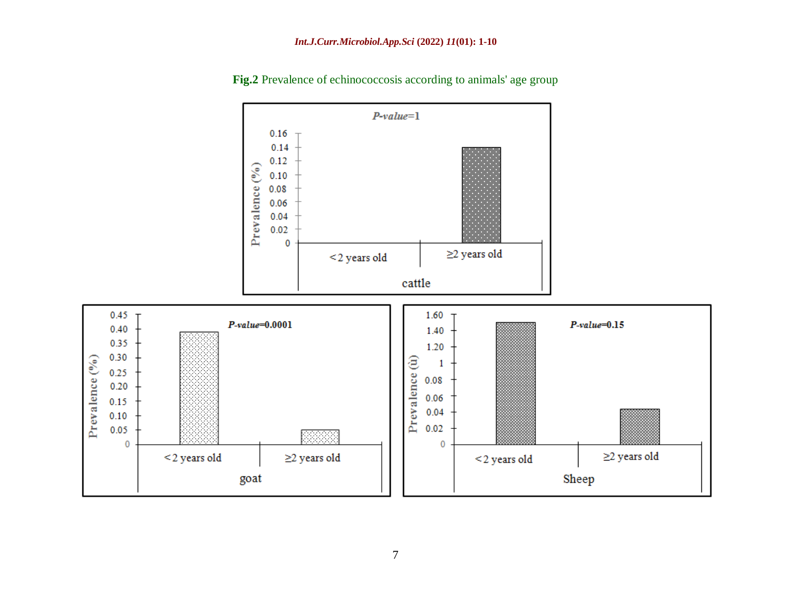

**Fig.2** Prevalence of echinococcosis according to animals' age group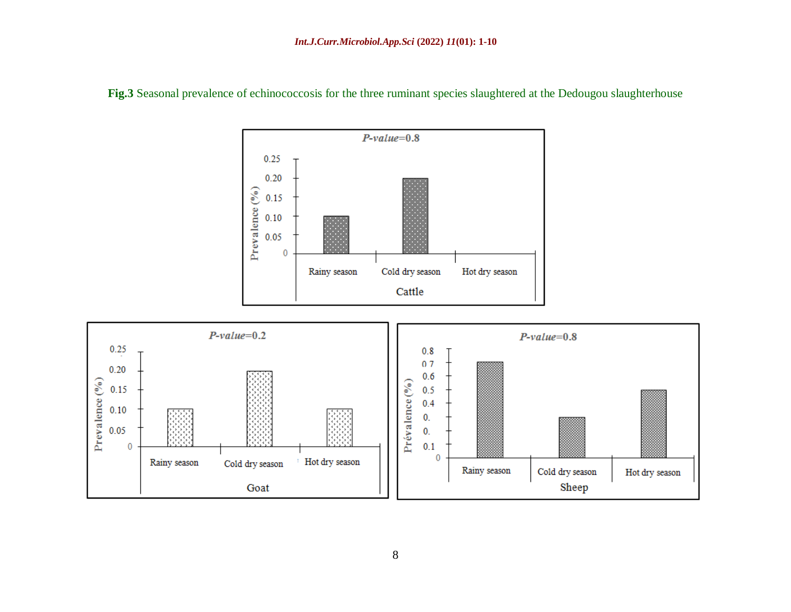

**Fig.3** Seasonal prevalence of echinococcosis for the three ruminant species slaughtered at the Dedougou slaughterhouse

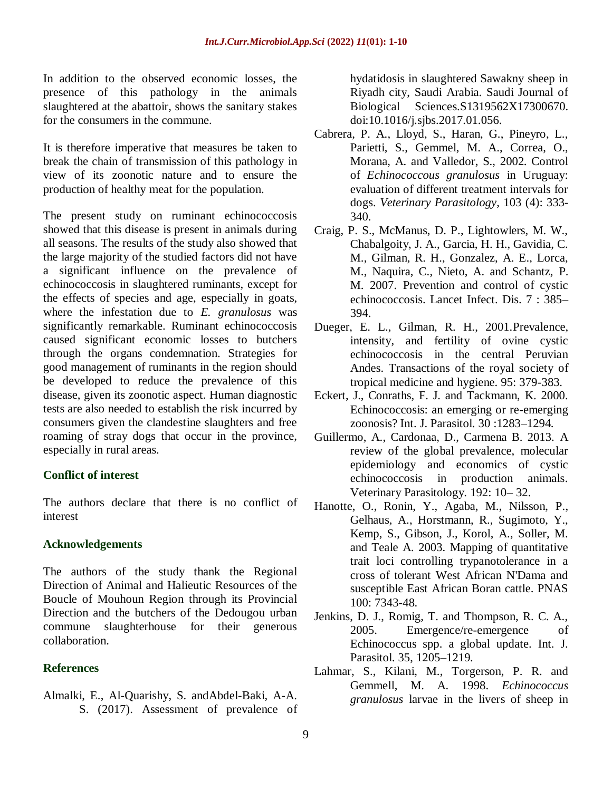In addition to the observed economic losses, the presence of this pathology in the animals slaughtered at the abattoir, shows the sanitary stakes for the consumers in the commune.

It is therefore imperative that measures be taken to break the chain of transmission of this pathology in view of its zoonotic nature and to ensure the production of healthy meat for the population.

The present study on ruminant echinococcosis showed that this disease is present in animals during all seasons. The results of the study also showed that the large majority of the studied factors did not have a significant influence on the prevalence of echinococcosis in slaughtered ruminants, except for the effects of species and age, especially in goats, where the infestation due to *E. granulosus* was significantly remarkable. Ruminant echinococcosis caused significant economic losses to butchers through the organs condemnation. Strategies for good management of ruminants in the region should be developed to reduce the prevalence of this disease, given its zoonotic aspect. Human diagnostic tests are also needed to establish the risk incurred by consumers given the clandestine slaughters and free roaming of stray dogs that occur in the province, especially in rural areas.

## **Conflict of interest**

The authors declare that there is no conflict of interest

## **Acknowledgements**

The authors of the study thank the Regional Direction of Animal and Halieutic Resources of the Boucle of Mouhoun Region through its Provincial Direction and the butchers of the Dedougou urban commune slaughterhouse for their generous collaboration.

## **References**

Almalki, E., Al-Quarishy, S. andAbdel-Baki, A-A. S. (2017). Assessment of prevalence of hydatidosis in slaughtered Sawakny sheep in Riyadh city, Saudi Arabia. Saudi Journal of Biological Sciences.S1319562X17300670. doi:10.1016/j.sjbs.2017.01.056.

- Cabrera, P. A., Lloyd, S., Haran, G., Pineyro, L., Parietti, S., Gemmel, M. A., Correa, O., Morana, A. and Valledor, S., 2002. Control of *Echinococcous granulosus* in Uruguay: evaluation of different treatment intervals for dogs. *Veterinary Parasitology*, 103 (4): 333- 340.
- Craig, P. S., McManus, D. P., Lightowlers, M. W., Chabalgoity, J. A., Garcia, H. H., Gavidia, C. M., Gilman, R. H., Gonzalez, A. E., Lorca, M., Naquira, C., Nieto, A. and Schantz, P. M. 2007. Prevention and control of cystic echinococcosis. Lancet Infect. Dis. 7 : 385– 394.
- Dueger, E. L., Gilman, R. H., 2001.Prevalence, intensity, and fertility of ovine cystic echinococcosis in the central Peruvian Andes. Transactions of the royal society of tropical medicine and hygiene. 95: 379-383.
- Eckert, J., Conraths, F. J. and Tackmann, K. 2000. Echinococcosis: an emerging or re-emerging zoonosis? Int. J. Parasitol. 30 :1283–1294.
- Guillermo, A., Cardonaa, D., Carmena B. 2013. A review of the global prevalence, molecular epidemiology and economics of cystic echinococcosis in production animals. Veterinary Parasitology. 192: 10– 32.
- Hanotte, O., Ronin, Y., Agaba, M., Nilsson, P., Gelhaus, A., Horstmann, R., Sugimoto, Y., Kemp, S., Gibson, J., Korol, A., Soller, M. and Teale A. 2003. Mapping of quantitative trait loci controlling trypanotolerance in a cross of tolerant West African N'Dama and susceptible East African Boran cattle. PNAS 100: 7343-48.
- Jenkins, D. J., Romig, T. and Thompson, R. C. A., 2005. Emergence/re-emergence of Echinococcus spp. a global update. Int. J. Parasitol. 35, 1205–1219.
- [Lahmar,](https://www.tandfonline.com/author/Lahmar%2C+S) S., [Kilani,](https://www.tandfonline.com/author/Kilani%2C+M) M., [Torgerson,](https://www.tandfonline.com/author/Torgerson%2C+P+R) P. R. and [Gemmell,](https://www.tandfonline.com/author/Gemmell%2C+M+A) M. A. 1998. *Echinococcus granulosus* larvae in the livers of sheep in